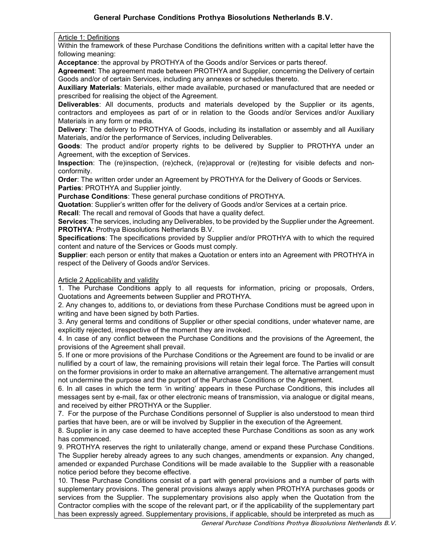Article 1: Definitions

Within the framework of these Purchase Conditions the definitions written with a capital letter have the following meaning:

Acceptance: the approval by PROTHYA of the Goods and/or Services or parts thereof.

Agreement: The agreement made between PROTHYA and Supplier, concerning the Delivery of certain Goods and/or of certain Services, including any annexes or schedules thereto.

Auxiliary Materials: Materials, either made available, purchased or manufactured that are needed or prescribed for realising the object of the Agreement.

Deliverables: All documents, products and materials developed by the Supplier or its agents, contractors and employees as part of or in relation to the Goods and/or Services and/or Auxiliary Materials in any form or media.

Delivery: The delivery to PROTHYA of Goods, including its installation or assembly and all Auxiliary Materials, and/or the performance of Services, including Deliverables.

Goods: The product and/or property rights to be delivered by Supplier to PROTHYA under an Agreement, with the exception of Services.

Inspection: The (re)inspection, (re)check, (re)approval or (re)testing for visible defects and nonconformity.

Order: The written order under an Agreement by PROTHYA for the Delivery of Goods or Services. Parties: PROTHYA and Supplier jointly.

Purchase Conditions: These general purchase conditions of PROTHYA.

Quotation: Supplier's written offer for the delivery of Goods and/or Services at a certain price.

Recall: The recall and removal of Goods that have a quality defect.

Services: The services, including any Deliverables, to be provided by the Supplier under the Agreement. PROTHYA: Prothya Biosolutions Netherlands B.V.

Specifications: The specifications provided by Supplier and/or PROTHYA with to which the required content and nature of the Services or Goods must comply.

Supplier: each person or entity that makes a Quotation or enters into an Agreement with PROTHYA in respect of the Delivery of Goods and/or Services.

### **Article 2 Applicability and validity**

1. The Purchase Conditions apply to all requests for information, pricing or proposals, Orders, Quotations and Agreements between Supplier and PROTHYA.

2. Any changes to, additions to, or deviations from these Purchase Conditions must be agreed upon in writing and have been signed by both Parties.

3. Any general terms and conditions of Supplier or other special conditions, under whatever name, are explicitly rejected, irrespective of the moment they are invoked.

4. In case of any conflict between the Purchase Conditions and the provisions of the Agreement, the provisions of the Agreement shall prevail.

5. If one or more provisions of the Purchase Conditions or the Agreement are found to be invalid or are nullified by a court of law, the remaining provisions will retain their legal force. The Parties will consult on the former provisions in order to make an alternative arrangement. The alternative arrangement must not undermine the purpose and the purport of the Purchase Conditions or the Agreement.

6. In all cases in which the term 'in writing' appears in these Purchase Conditions, this includes all messages sent by e-mail, fax or other electronic means of transmission, via analogue or digital means, and received by either PROTHYA or the Supplier.

7. For the purpose of the Purchase Conditions personnel of Supplier is also understood to mean third parties that have been, are or will be involved by Supplier in the execution of the Agreement.

8. Supplier is in any case deemed to have accepted these Purchase Conditions as soon as any work has commenced.

9. PROTHYA reserves the right to unilaterally change, amend or expand these Purchase Conditions. The Supplier hereby already agrees to any such changes, amendments or expansion. Any changed, amended or expanded Purchase Conditions will be made available to the Supplier with a reasonable notice period before they become effective.

10. These Purchase Conditions consist of a part with general provisions and a number of parts with supplementary provisions. The general provisions always apply when PROTHYA purchases goods or services from the Supplier. The supplementary provisions also apply when the Quotation from the Contractor complies with the scope of the relevant part, or if the applicability of the supplementary part has been expressly agreed. Supplementary provisions, if applicable, should be interpreted as much as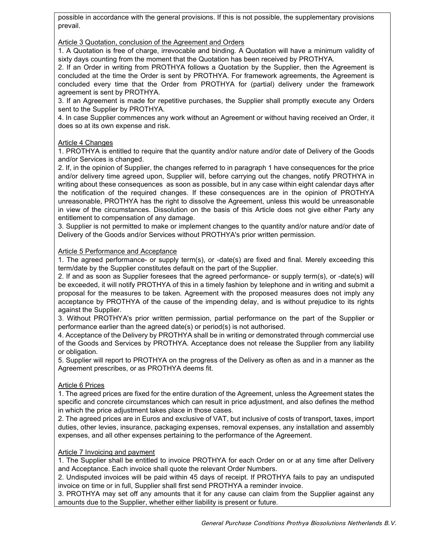possible in accordance with the general provisions. If this is not possible, the supplementary provisions prevail.

### Article 3 Quotation, conclusion of the Agreement and Orders

1. A Quotation is free of charge, irrevocable and binding. A Quotation will have a minimum validity of sixty days counting from the moment that the Quotation has been received by PROTHYA.

2. If an Order in writing from PROTHYA follows a Quotation by the Supplier, then the Agreement is concluded at the time the Order is sent by PROTHYA. For framework agreements, the Agreement is concluded every time that the Order from PROTHYA for (partial) delivery under the framework agreement is sent by PROTHYA.

3. If an Agreement is made for repetitive purchases, the Supplier shall promptly execute any Orders sent to the Supplier by PROTHYA.

4. In case Supplier commences any work without an Agreement or without having received an Order, it does so at its own expense and risk.

### Article 4 Changes

1. PROTHYA is entitled to require that the quantity and/or nature and/or date of Delivery of the Goods and/or Services is changed.

2. If, in the opinion of Supplier, the changes referred to in paragraph 1 have consequences for the price and/or delivery time agreed upon, Supplier will, before carrying out the changes, notify PROTHYA in writing about these consequences as soon as possible, but in any case within eight calendar days after the notification of the required changes. If these consequences are in the opinion of PROTHYA unreasonable, PROTHYA has the right to dissolve the Agreement, unless this would be unreasonable in view of the circumstances. Dissolution on the basis of this Article does not give either Party any entitlement to compensation of any damage.

3. Supplier is not permitted to make or implement changes to the quantity and/or nature and/or date of Delivery of the Goods and/or Services without PROTHYA's prior written permission.

### Article 5 Performance and Acceptance

1. The agreed performance- or supply term(s), or -date(s) are fixed and final. Merely exceeding this term/date by the Supplier constitutes default on the part of the Supplier.

2. If and as soon as Supplier foresees that the agreed performance- or supply term(s), or -date(s) will be exceeded, it will notify PROTHYA of this in a timely fashion by telephone and in writing and submit a proposal for the measures to be taken. Agreement with the proposed measures does not imply any acceptance by PROTHYA of the cause of the impending delay, and is without prejudice to its rights against the Supplier.

3. Without PROTHYA's prior written permission, partial performance on the part of the Supplier or performance earlier than the agreed date(s) or period(s) is not authorised.

4. Acceptance of the Delivery by PROTHYA shall be in writing or demonstrated through commercial use of the Goods and Services by PROTHYA. Acceptance does not release the Supplier from any liability or obligation.

5. Supplier will report to PROTHYA on the progress of the Delivery as often as and in a manner as the Agreement prescribes, or as PROTHYA deems fit.

### Article 6 Prices

1. The agreed prices are fixed for the entire duration of the Agreement, unless the Agreement states the specific and concrete circumstances which can result in price adjustment, and also defines the method in which the price adjustment takes place in those cases.

2. The agreed prices are in Euros and exclusive of VAT, but inclusive of costs of transport, taxes, import duties, other levies, insurance, packaging expenses, removal expenses, any installation and assembly expenses, and all other expenses pertaining to the performance of the Agreement.

### Article 7 Invoicing and payment

1. The Supplier shall be entitled to invoice PROTHYA for each Order on or at any time after Delivery and Acceptance. Each invoice shall quote the relevant Order Numbers.

2. Undisputed invoices will be paid within 45 days of receipt. If PROTHYA fails to pay an undisputed invoice on time or in full, Supplier shall first send PROTHYA a reminder invoice.

3. PROTHYA may set off any amounts that it for any cause can claim from the Supplier against any amounts due to the Supplier, whether either liability is present or future.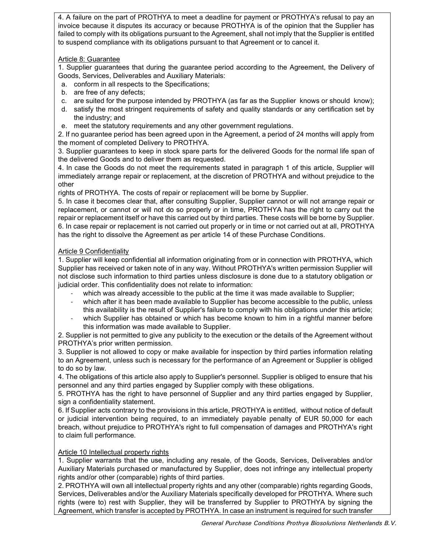4. A failure on the part of PROTHYA to meet a deadline for payment or PROTHYA's refusal to pay an invoice because it disputes its accuracy or because PROTHYA is of the opinion that the Supplier has failed to comply with its obligations pursuant to the Agreement, shall not imply that the Supplier is entitled to suspend compliance with its obligations pursuant to that Agreement or to cancel it.

# Article 8: Guarantee

1. Supplier guarantees that during the guarantee period according to the Agreement, the Delivery of Goods, Services, Deliverables and Auxiliary Materials:

- a. conform in all respects to the Specifications;
- b. are free of any defects;
- c. are suited for the purpose intended by PROTHYA (as far as the Supplier knows or should know);
- d. satisfy the most stringent requirements of safety and quality standards or any certification set by the industry; and
- e. meet the statutory requirements and any other government regulations.

2. If no guarantee period has been agreed upon in the Agreement, a period of 24 months will apply from the moment of completed Delivery to PROTHYA.

3. Supplier guarantees to keep in stock spare parts for the delivered Goods for the normal life span of the delivered Goods and to deliver them as requested.

4. In case the Goods do not meet the requirements stated in paragraph 1 of this article, Supplier will immediately arrange repair or replacement, at the discretion of PROTHYA and without prejudice to the other

rights of PROTHYA. The costs of repair or replacement will be borne by Supplier.

5. In case it becomes clear that, after consulting Supplier, Supplier cannot or will not arrange repair or replacement, or cannot or will not do so properly or in time, PROTHYA has the right to carry out the repair or replacement itself or have this carried out by third parties. These costs will be borne by Supplier. 6. In case repair or replacement is not carried out properly or in time or not carried out at all, PROTHYA has the right to dissolve the Agreement as per article 14 of these Purchase Conditions.

### Article 9 Confidentiality

1. Supplier will keep confidential all information originating from or in connection with PROTHYA, which Supplier has received or taken note of in any way. Without PROTHYA's written permission Supplier will not disclose such information to third parties unless disclosure is done due to a statutory obligation or judicial order. This confidentiality does not relate to information:

- which was already accessible to the public at the time it was made available to Supplier;
- which after it has been made available to Supplier has become accessible to the public, unless this availability is the result of Supplier's failure to comply with his obligations under this article;
- which Supplier has obtained or which has become known to him in a rightful manner before this information was made available to Supplier.

2. Supplier is not permitted to give any publicity to the execution or the details of the Agreement without PROTHYA's prior written permission.

3. Supplier is not allowed to copy or make available for inspection by third parties information relating to an Agreement, unless such is necessary for the performance of an Agreement or Supplier is obliged to do so by law.

4. The obligations of this article also apply to Supplier's personnel. Supplier is obliged to ensure that his personnel and any third parties engaged by Supplier comply with these obligations.

5. PROTHYA has the right to have personnel of Supplier and any third parties engaged by Supplier, sign a confidentiality statement.

6. If Supplier acts contrary to the provisions in this article, PROTHYA is entitled, without notice of default or judicial intervention being required, to an immediately payable penalty of EUR 50,000 for each breach, without prejudice to PROTHYA's right to full compensation of damages and PROTHYA's right to claim full performance.

# Article 10 Intellectual property rights

1. Supplier warrants that the use, including any resale, of the Goods, Services, Deliverables and/or Auxiliary Materials purchased or manufactured by Supplier, does not infringe any intellectual property rights and/or other (comparable) rights of third parties.

2. PROTHYA will own all intellectual property rights and any other (comparable) rights regarding Goods, Services, Deliverables and/or the Auxiliary Materials specifically developed for PROTHYA. Where such rights (were to) rest with Supplier, they will be transferred by Supplier to PROTHYA by signing the Agreement, which transfer is accepted by PROTHYA. In case an instrument is required for such transfer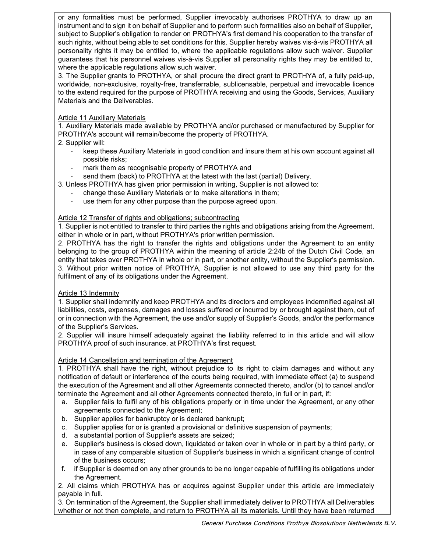or any formalities must be performed, Supplier irrevocably authorises PROTHYA to draw up an instrument and to sign it on behalf of Supplier and to perform such formalities also on behalf of Supplier, subject to Supplier's obligation to render on PROTHYA's first demand his cooperation to the transfer of such rights, without being able to set conditions for this. Supplier hereby waives vis-à-vis PROTHYA all personality rights it may be entitled to, where the applicable regulations allow such waiver. Supplier guarantees that his personnel waives vis-à-vis Supplier all personality rights they may be entitled to, where the applicable regulations allow such waiver.

3. The Supplier grants to PROTHYA, or shall procure the direct grant to PROTHYA of, a fully paid-up, worldwide, non-exclusive, royalty-free, transferrable, sublicensable, perpetual and irrevocable licence to the extend required for the purpose of PROTHYA receiving and using the Goods, Services, Auxiliary Materials and the Deliverables.

# Article 11 Auxiliary Materials

1. Auxiliary Materials made available by PROTHYA and/or purchased or manufactured by Supplier for PROTHYA's account will remain/become the property of PROTHYA.

- 2. Supplier will:
	- keep these Auxiliary Materials in good condition and insure them at his own account against all possible risks;
	- mark them as recognisable property of PROTHYA and
	- send them (back) to PROTHYA at the latest with the last (partial) Delivery.
- 3. Unless PROTHYA has given prior permission in writing, Supplier is not allowed to:
	- change these Auxiliary Materials or to make alterations in them;
	- use them for any other purpose than the purpose agreed upon.

### Article 12 Transfer of rights and obligations; subcontracting

1. Supplier is not entitled to transfer to third parties the rights and obligations arising from the Agreement, either in whole or in part, without PROTHYA's prior written permission.

2. PROTHYA has the right to transfer the rights and obligations under the Agreement to an entity belonging to the group of PROTHYA within the meaning of article 2:24b of the Dutch Civil Code, an entity that takes over PROTHYA in whole or in part, or another entity, without the Supplier's permission. 3. Without prior written notice of PROTHYA, Supplier is not allowed to use any third party for the fulfilment of any of its obligations under the Agreement.

### Article 13 Indemnity

1. Supplier shall indemnify and keep PROTHYA and its directors and employees indemnified against all liabilities, costs, expenses, damages and losses suffered or incurred by or brought against them, out of or in connection with the Agreement, the use and/or supply of Supplier's Goods, and/or the performance of the Supplier's Services.

2. Supplier will insure himself adequately against the liability referred to in this article and will allow PROTHYA proof of such insurance, at PROTHYA's first request.

# Article 14 Cancellation and termination of the Agreement

1. PROTHYA shall have the right, without prejudice to its right to claim damages and without any notification of default or interference of the courts being required, with immediate effect (a) to suspend the execution of the Agreement and all other Agreements connected thereto, and/or (b) to cancel and/or terminate the Agreement and all other Agreements connected thereto, in full or in part, if:

- a. Supplier fails to fulfil any of his obligations properly or in time under the Agreement, or any other agreements connected to the Agreement;
- b. Supplier applies for bankruptcy or is declared bankrupt;
- c. Supplier applies for or is granted a provisional or definitive suspension of payments;
- d. a substantial portion of Supplier's assets are seized;
- e. Supplier's business is closed down, liquidated or taken over in whole or in part by a third party, or in case of any comparable situation of Supplier's business in which a significant change of control of the business occurs;
- f. if Supplier is deemed on any other grounds to be no longer capable of fulfilling its obligations under the Agreement.

2. All claims which PROTHYA has or acquires against Supplier under this article are immediately payable in full.

3. On termination of the Agreement, the Supplier shall immediately deliver to PROTHYA all Deliverables whether or not then complete, and return to PROTHYA all its materials. Until they have been returned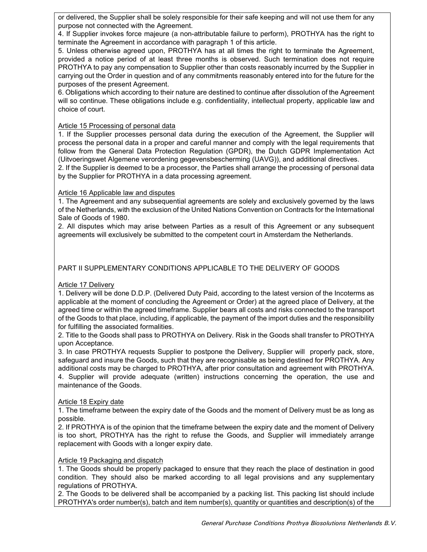or delivered, the Supplier shall be solely responsible for their safe keeping and will not use them for any purpose not connected with the Agreement.

4. If Supplier invokes force majeure (a non-attributable failure to perform), PROTHYA has the right to terminate the Agreement in accordance with paragraph 1 of this article.

5. Unless otherwise agreed upon, PROTHYA has at all times the right to terminate the Agreement, provided a notice period of at least three months is observed. Such termination does not require PROTHYA to pay any compensation to Supplier other than costs reasonably incurred by the Supplier in carrying out the Order in question and of any commitments reasonably entered into for the future for the purposes of the present Agreement.

6. Obligations which according to their nature are destined to continue after dissolution of the Agreement will so continue. These obligations include e.g. confidentiality, intellectual property, applicable law and choice of court.

### Article 15 Processing of personal data

1. If the Supplier processes personal data during the execution of the Agreement, the Supplier will process the personal data in a proper and careful manner and comply with the legal requirements that follow from the General Data Protection Regulation (GPDR), the Dutch GDPR Implementation Act (Uitvoeringswet Algemene verordening gegevensbescherming (UAVG)), and additional directives. 2. If the Supplier is deemed to be a processor, the Parties shall arrange the processing of personal data

by the Supplier for PROTHYA in a data processing agreement.

### Article 16 Applicable law and disputes

1. The Agreement and any subsequential agreements are solely and exclusively governed by the laws of the Netherlands, with the exclusion of the United Nations Convention on Contracts for the International Sale of Goods of 1980.

2. All disputes which may arise between Parties as a result of this Agreement or any subsequent agreements will exclusively be submitted to the competent court in Amsterdam the Netherlands.

# PART II SUPPLEMENTARY CONDITIONS APPLICABLE TO THE DELIVERY OF GOODS

### Article 17 Delivery

1. Delivery will be done D.D.P. (Delivered Duty Paid, according to the latest version of the Incoterms as applicable at the moment of concluding the Agreement or Order) at the agreed place of Delivery, at the agreed time or within the agreed timeframe. Supplier bears all costs and risks connected to the transport of the Goods to that place, including, if applicable, the payment of the import duties and the responsibility for fulfilling the associated formalities.

2. Title to the Goods shall pass to PROTHYA on Delivery. Risk in the Goods shall transfer to PROTHYA upon Acceptance.

3. In case PROTHYA requests Supplier to postpone the Delivery, Supplier will properly pack, store, safeguard and insure the Goods, such that they are recognisable as being destined for PROTHYA. Any additional costs may be charged to PROTHYA, after prior consultation and agreement with PROTHYA. 4. Supplier will provide adequate (written) instructions concerning the operation, the use and maintenance of the Goods.

### Article 18 Expiry date

1. The timeframe between the expiry date of the Goods and the moment of Delivery must be as long as possible.

2. If PROTHYA is of the opinion that the timeframe between the expiry date and the moment of Delivery is too short, PROTHYA has the right to refuse the Goods, and Supplier will immediately arrange replacement with Goods with a longer expiry date.

### Article 19 Packaging and dispatch

1. The Goods should be properly packaged to ensure that they reach the place of destination in good condition. They should also be marked according to all legal provisions and any supplementary regulations of PROTHYA.

2. The Goods to be delivered shall be accompanied by a packing list. This packing list should include PROTHYA's order number(s), batch and item number(s), quantity or quantities and description(s) of the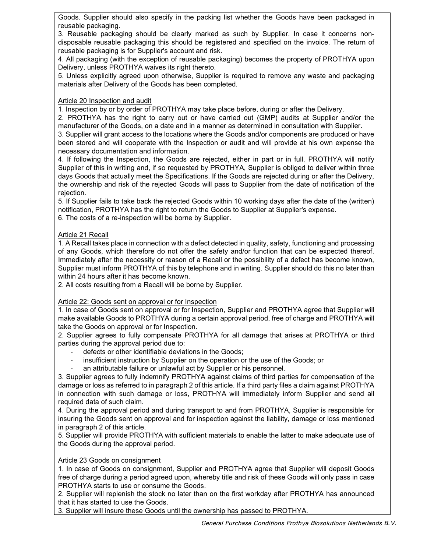Goods. Supplier should also specify in the packing list whether the Goods have been packaged in reusable packaging.

3. Reusable packaging should be clearly marked as such by Supplier. In case it concerns nondisposable reusable packaging this should be registered and specified on the invoice. The return of reusable packaging is for Supplier's account and risk.

4. All packaging (with the exception of reusable packaging) becomes the property of PROTHYA upon Delivery, unless PROTHYA waives its right thereto.

5. Unless explicitly agreed upon otherwise, Supplier is required to remove any waste and packaging materials after Delivery of the Goods has been completed.

### Article 20 Inspection and audit

1. Inspection by or by order of PROTHYA may take place before, during or after the Delivery.

2. PROTHYA has the right to carry out or have carried out (GMP) audits at Supplier and/or the manufacturer of the Goods, on a date and in a manner as determined in consultation with Supplier.

3. Supplier will grant access to the locations where the Goods and/or components are produced or have been stored and will cooperate with the Inspection or audit and will provide at his own expense the necessary documentation and information.

4. If following the Inspection, the Goods are rejected, either in part or in full, PROTHYA will notify Supplier of this in writing and, if so requested by PROTHYA, Supplier is obliged to deliver within three days Goods that actually meet the Specifications. If the Goods are rejected during or after the Delivery, the ownership and risk of the rejected Goods will pass to Supplier from the date of notification of the rejection.

5. If Supplier fails to take back the rejected Goods within 10 working days after the date of the (written) notification, PROTHYA has the right to return the Goods to Supplier at Supplier's expense.

6. The costs of a re-inspection will be borne by Supplier.

#### Article 21 Recall

1. A Recall takes place in connection with a defect detected in quality, safety, functioning and processing of any Goods, which therefore do not offer the safety and/or function that can be expected thereof. Immediately after the necessity or reason of a Recall or the possibility of a defect has become known, Supplier must inform PROTHYA of this by telephone and in writing. Supplier should do this no later than within 24 hours after it has become known.

2. All costs resulting from a Recall will be borne by Supplier.

### Article 22: Goods sent on approval or for Inspection

1. In case of Goods sent on approval or for Inspection, Supplier and PROTHYA agree that Supplier will make available Goods to PROTHYA during a certain approval period, free of charge and PROTHYA will take the Goods on approval or for Inspection.

2. Supplier agrees to fully compensate PROTHYA for all damage that arises at PROTHYA or third parties during the approval period due to:

- defects or other identifiable deviations in the Goods;
- insufficient instruction by Supplier on the operation or the use of the Goods; or
- an attributable failure or unlawful act by Supplier or his personnel.

3. Supplier agrees to fully indemnify PROTHYA against claims of third parties for compensation of the damage or loss as referred to in paragraph 2 of this article. If a third party files a claim against PROTHYA in connection with such damage or loss, PROTHYA will immediately inform Supplier and send all required data of such claim.

4. During the approval period and during transport to and from PROTHYA, Supplier is responsible for insuring the Goods sent on approval and for inspection against the liability, damage or loss mentioned in paragraph 2 of this article.

5. Supplier will provide PROTHYA with sufficient materials to enable the latter to make adequate use of the Goods during the approval period.

#### Article 23 Goods on consignment

1. In case of Goods on consignment, Supplier and PROTHYA agree that Supplier will deposit Goods free of charge during a period agreed upon, whereby title and risk of these Goods will only pass in case PROTHYA starts to use or consume the Goods.

2. Supplier will replenish the stock no later than on the first workday after PROTHYA has announced that it has started to use the Goods.

3. Supplier will insure these Goods until the ownership has passed to PROTHYA.